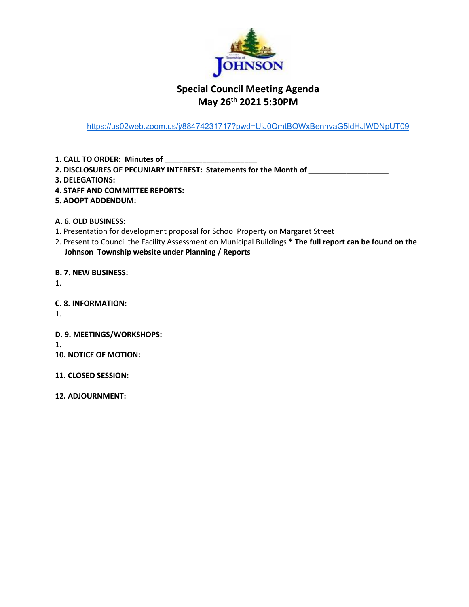

# **Special Council Meeting Agenda May 26th 2021 5:30PM**

<https://us02web.zoom.us/j/88474231717?pwd=UjJ0QmtBQWxBenhvaG5ldHJlWDNpUT09>

**1. CALL TO ORDER: Minutes of \_\_\_\_\_\_\_\_\_\_\_\_\_\_\_\_\_\_\_\_\_\_**

**2. DISCLOSURES OF PECUNIARY INTEREST: Statements for the Month of** \_\_\_\_\_\_\_\_\_\_\_\_\_\_\_\_\_\_\_

- **3. DELEGATIONS:**
- **4. STAFF AND COMMITTEE REPORTS:**
- **5. ADOPT ADDENDUM:**

**A. 6. OLD BUSINESS:**

- 1. Presentation for development proposal for School Property on Margaret Street
- 2. Present to Council the Facility Assessment on Municipal Buildings **\* The full report can be found on the Johnson Township website under Planning / Reports**

**B. 7. NEW BUSINESS:** 

1.

**C. 8. INFORMATION:**

1.

**D. 9. MEETINGS/WORKSHOPS:**

1.

- **10. NOTICE OF MOTION:**
- **11. CLOSED SESSION:**
- **12. ADJOURNMENT:**